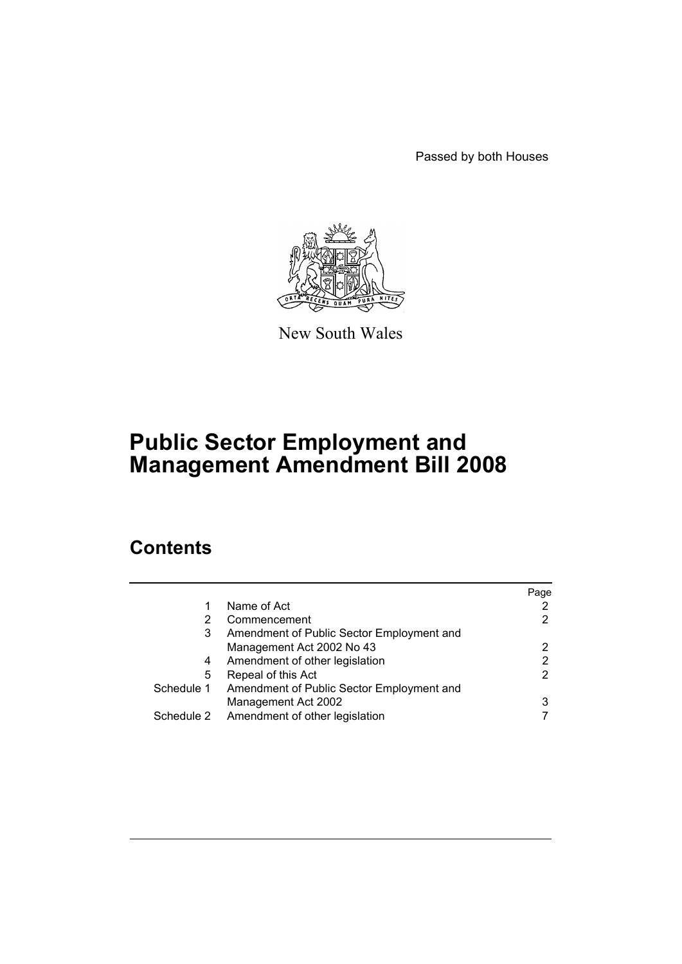Passed by both Houses



New South Wales

# **Public Sector Employment and Management Amendment Bill 2008**

# **Contents**

|            |                                           | Page |
|------------|-------------------------------------------|------|
| 1          | Name of Act                               |      |
|            | Commencement                              | 2    |
| 3          | Amendment of Public Sector Employment and |      |
|            | Management Act 2002 No 43                 | 2    |
| 4          | Amendment of other legislation            | 2    |
| 5          | Repeal of this Act                        | 2    |
| Schedule 1 | Amendment of Public Sector Employment and |      |
|            | Management Act 2002                       | 3    |
| Schedule 2 | Amendment of other legislation            |      |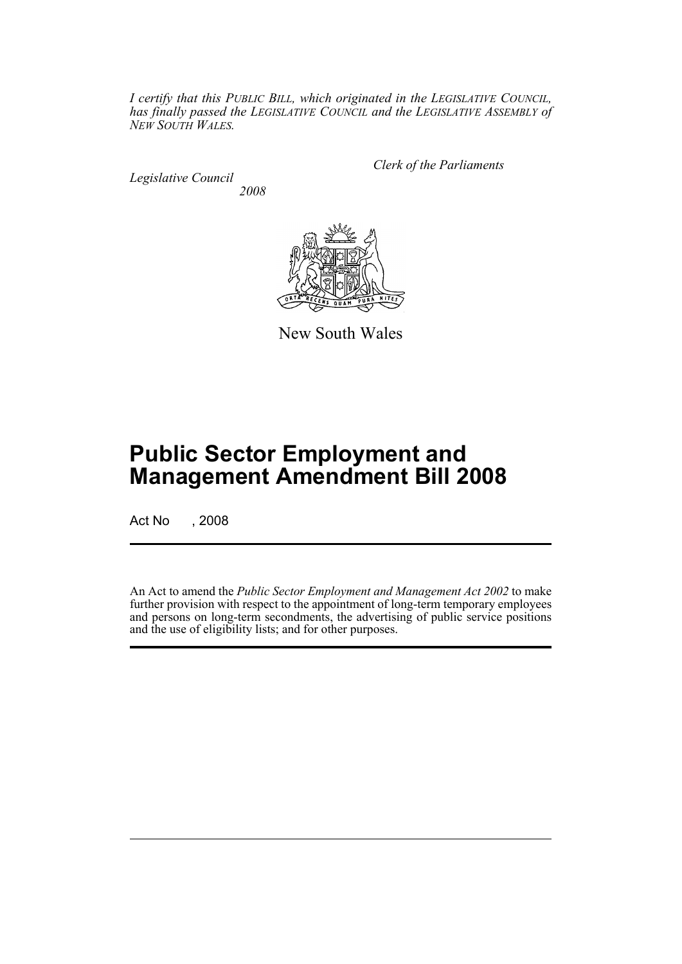*I certify that this PUBLIC BILL, which originated in the LEGISLATIVE COUNCIL, has finally passed the LEGISLATIVE COUNCIL and the LEGISLATIVE ASSEMBLY of NEW SOUTH WALES.*

*Legislative Council 2008* *Clerk of the Parliaments*



New South Wales

# **Public Sector Employment and Management Amendment Bill 2008**

Act No , 2008

An Act to amend the *Public Sector Employment and Management Act 2002* to make further provision with respect to the appointment of long-term temporary employees and persons on long-term secondments, the advertising of public service positions and the use of eligibility lists; and for other purposes.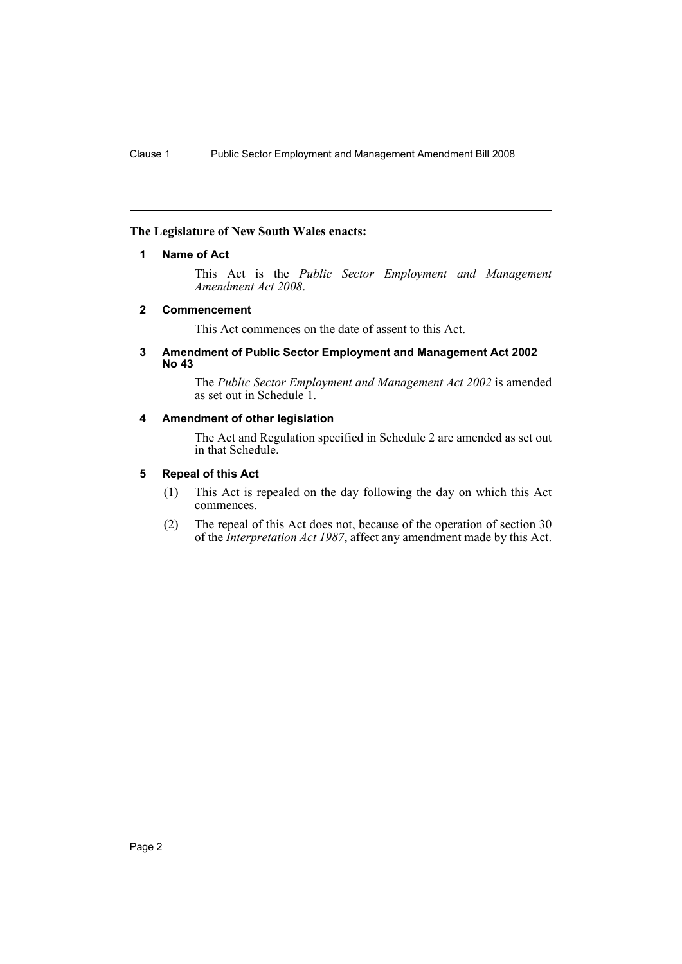## <span id="page-2-0"></span>**The Legislature of New South Wales enacts:**

## **1 Name of Act**

This Act is the *Public Sector Employment and Management Amendment Act 2008*.

## <span id="page-2-1"></span>**2 Commencement**

This Act commences on the date of assent to this Act.

#### <span id="page-2-2"></span>**3 Amendment of Public Sector Employment and Management Act 2002 No 43**

The *Public Sector Employment and Management Act 2002* is amended as set out in Schedule 1.

## <span id="page-2-3"></span>**4 Amendment of other legislation**

The Act and Regulation specified in Schedule 2 are amended as set out in that Schedule.

## <span id="page-2-4"></span>**5 Repeal of this Act**

- (1) This Act is repealed on the day following the day on which this Act commences.
- (2) The repeal of this Act does not, because of the operation of section 30 of the *Interpretation Act 1987*, affect any amendment made by this Act.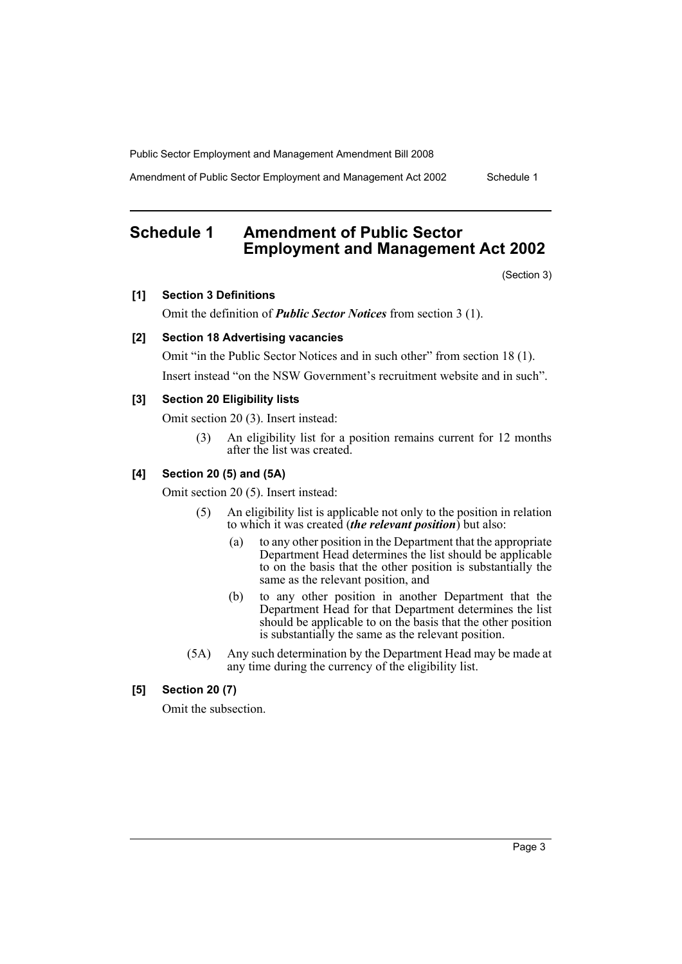Amendment of Public Sector Employment and Management Act 2002 Schedule 1

## <span id="page-3-0"></span>**Schedule 1 Amendment of Public Sector Employment and Management Act 2002**

(Section 3)

## **[1] Section 3 Definitions**

Omit the definition of *Public Sector Notices* from section 3 (1).

## **[2] Section 18 Advertising vacancies**

Omit "in the Public Sector Notices and in such other" from section 18 (1). Insert instead "on the NSW Government's recruitment website and in such".

#### **[3] Section 20 Eligibility lists**

Omit section 20 (3). Insert instead:

(3) An eligibility list for a position remains current for 12 months after the list was created.

## **[4] Section 20 (5) and (5A)**

Omit section 20 (5). Insert instead:

- (5) An eligibility list is applicable not only to the position in relation to which it was created (*the relevant position*) but also:
	- (a) to any other position in the Department that the appropriate Department Head determines the list should be applicable to on the basis that the other position is substantially the same as the relevant position, and
	- (b) to any other position in another Department that the Department Head for that Department determines the list should be applicable to on the basis that the other position is substantially the same as the relevant position.
- (5A) Any such determination by the Department Head may be made at any time during the currency of the eligibility list.

## **[5] Section 20 (7)**

Omit the subsection.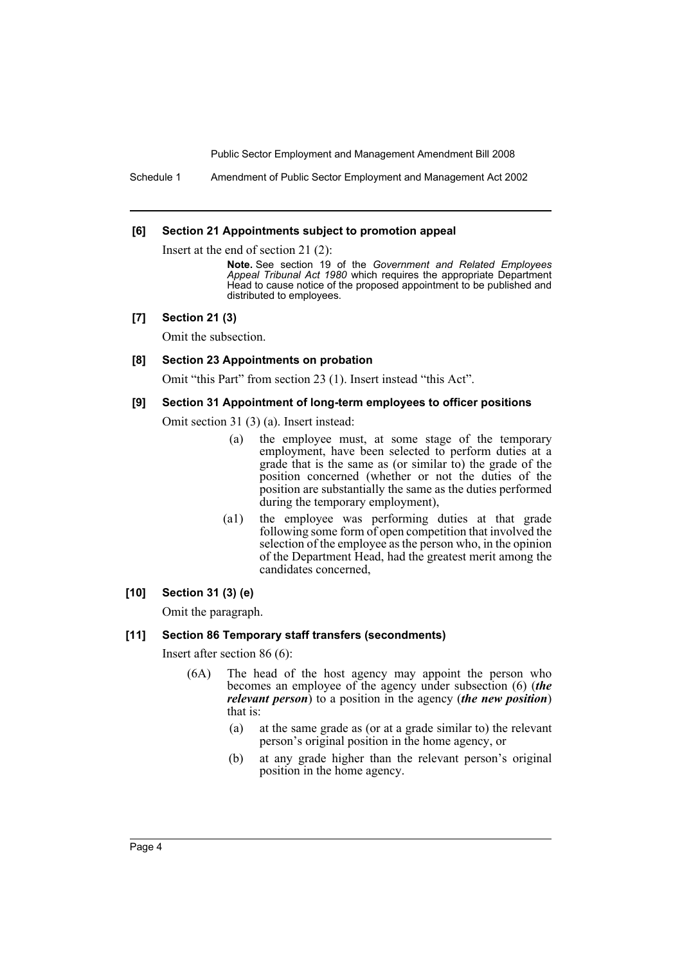Schedule 1 Amendment of Public Sector Employment and Management Act 2002

#### **[6] Section 21 Appointments subject to promotion appeal**

Insert at the end of section 21 (2):

**Note.** See section 19 of the *Government and Related Employees Appeal Tribunal Act 1980* which requires the appropriate Department Head to cause notice of the proposed appointment to be published and distributed to employees.

#### **[7] Section 21 (3)**

Omit the subsection.

## **[8] Section 23 Appointments on probation**

Omit "this Part" from section 23 (1). Insert instead "this Act".

#### **[9] Section 31 Appointment of long-term employees to officer positions**

Omit section 31 (3) (a). Insert instead:

- (a) the employee must, at some stage of the temporary employment, have been selected to perform duties at a grade that is the same as (or similar to) the grade of the position concerned (whether or not the duties of the position are substantially the same as the duties performed during the temporary employment),
- (a1) the employee was performing duties at that grade following some form of open competition that involved the selection of the employee as the person who, in the opinion of the Department Head, had the greatest merit among the candidates concerned,

#### **[10] Section 31 (3) (e)**

Omit the paragraph.

#### **[11] Section 86 Temporary staff transfers (secondments)**

Insert after section 86 (6):

- (6A) The head of the host agency may appoint the person who becomes an employee of the agency under subsection (6) (*the relevant person*) to a position in the agency (*the new position*) that is:
	- (a) at the same grade as (or at a grade similar to) the relevant person's original position in the home agency, or
	- (b) at any grade higher than the relevant person's original position in the home agency.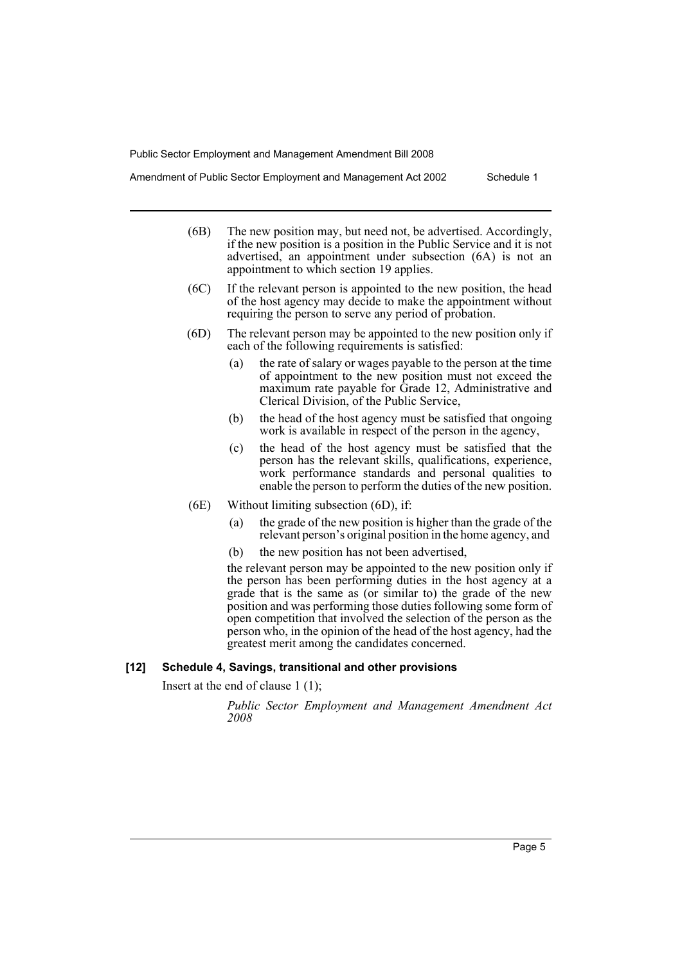Amendment of Public Sector Employment and Management Act 2002 Schedule 1

- (6B) The new position may, but need not, be advertised. Accordingly, if the new position is a position in the Public Service and it is not advertised, an appointment under subsection (6A) is not an appointment to which section 19 applies.
- (6C) If the relevant person is appointed to the new position, the head of the host agency may decide to make the appointment without requiring the person to serve any period of probation.
- (6D) The relevant person may be appointed to the new position only if each of the following requirements is satisfied:
	- (a) the rate of salary or wages payable to the person at the time of appointment to the new position must not exceed the maximum rate payable for Grade 12, Administrative and Clerical Division, of the Public Service,
	- (b) the head of the host agency must be satisfied that ongoing work is available in respect of the person in the agency,
	- (c) the head of the host agency must be satisfied that the person has the relevant skills, qualifications, experience, work performance standards and personal qualities to enable the person to perform the duties of the new position.
- (6E) Without limiting subsection (6D), if:
	- (a) the grade of the new position is higher than the grade of the relevant person's original position in the home agency, and
	- (b) the new position has not been advertised,

the relevant person may be appointed to the new position only if the person has been performing duties in the host agency at a grade that is the same as (or similar to) the grade of the new position and was performing those duties following some form of open competition that involved the selection of the person as the person who, in the opinion of the head of the host agency, had the greatest merit among the candidates concerned.

#### **[12] Schedule 4, Savings, transitional and other provisions**

Insert at the end of clause 1 (1);

*Public Sector Employment and Management Amendment Act 2008*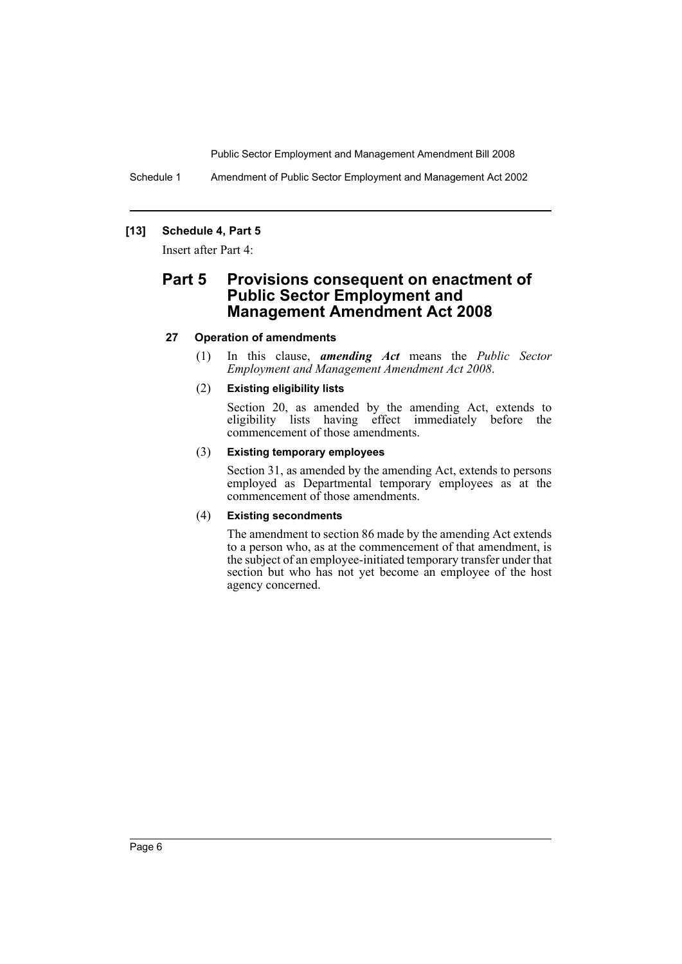Schedule 1 Amendment of Public Sector Employment and Management Act 2002

## **[13] Schedule 4, Part 5**

Insert after Part 4:

## **Part 5 Provisions consequent on enactment of Public Sector Employment and Management Amendment Act 2008**

## **27 Operation of amendments**

(1) In this clause, *amending Act* means the *Public Sector Employment and Management Amendment Act 2008*.

## (2) **Existing eligibility lists**

Section 20, as amended by the amending Act, extends to eligibility lists having effect immediately before the commencement of those amendments.

## (3) **Existing temporary employees**

Section 31, as amended by the amending Act, extends to persons employed as Departmental temporary employees as at the commencement of those amendments.

## (4) **Existing secondments**

The amendment to section 86 made by the amending Act extends to a person who, as at the commencement of that amendment, is the subject of an employee-initiated temporary transfer under that section but who has not yet become an employee of the host agency concerned.